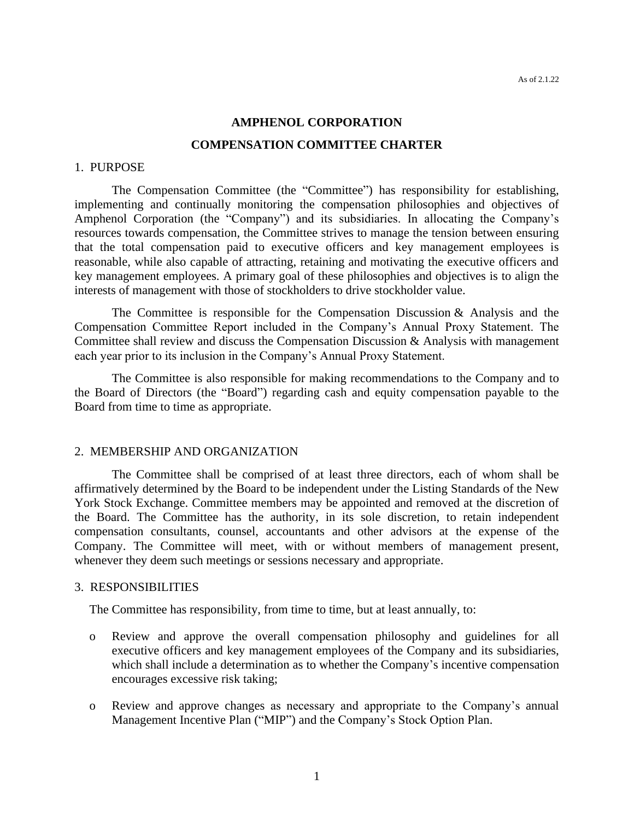# **AMPHENOL CORPORATION COMPENSATION COMMITTEE CHARTER**

#### 1. PURPOSE

The Compensation Committee (the "Committee") has responsibility for establishing, implementing and continually monitoring the compensation philosophies and objectives of Amphenol Corporation (the "Company") and its subsidiaries. In allocating the Company's resources towards compensation, the Committee strives to manage the tension between ensuring that the total compensation paid to executive officers and key management employees is reasonable, while also capable of attracting, retaining and motivating the executive officers and key management employees. A primary goal of these philosophies and objectives is to align the interests of management with those of stockholders to drive stockholder value.

The Committee is responsible for the Compensation Discussion & Analysis and the Compensation Committee Report included in the Company's Annual Proxy Statement. The Committee shall review and discuss the Compensation Discussion & Analysis with management each year prior to its inclusion in the Company's Annual Proxy Statement.

The Committee is also responsible for making recommendations to the Company and to the Board of Directors (the "Board") regarding cash and equity compensation payable to the Board from time to time as appropriate.

#### 2. MEMBERSHIP AND ORGANIZATION

The Committee shall be comprised of at least three directors, each of whom shall be affirmatively determined by the Board to be independent under the Listing Standards of the New York Stock Exchange. Committee members may be appointed and removed at the discretion of the Board. The Committee has the authority, in its sole discretion, to retain independent compensation consultants, counsel, accountants and other advisors at the expense of the Company. The Committee will meet, with or without members of management present, whenever they deem such meetings or sessions necessary and appropriate.

### 3. RESPONSIBILITIES

The Committee has responsibility, from time to time, but at least annually, to:

- o Review and approve the overall compensation philosophy and guidelines for all executive officers and key management employees of the Company and its subsidiaries, which shall include a determination as to whether the Company's incentive compensation encourages excessive risk taking;
- o Review and approve changes as necessary and appropriate to the Company's annual Management Incentive Plan ("MIP") and the Company's Stock Option Plan.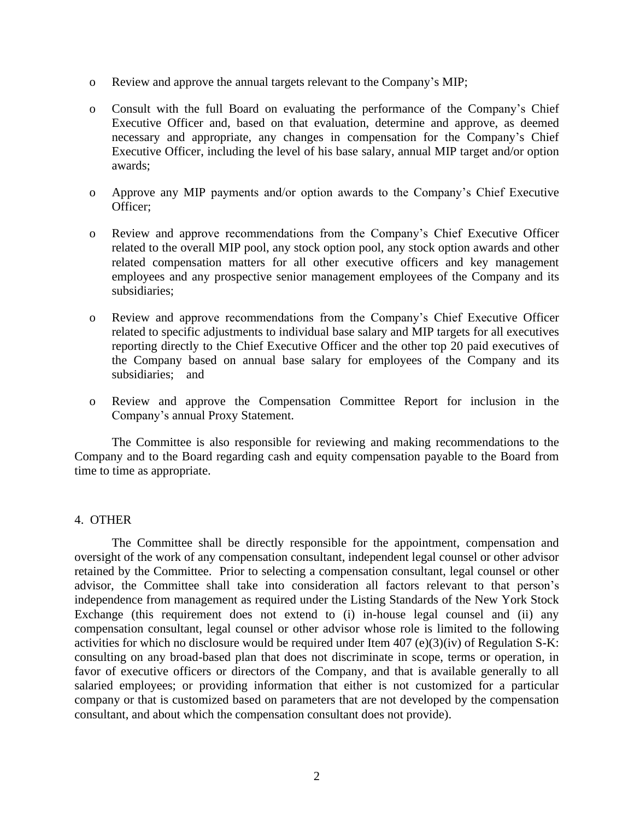- o Review and approve the annual targets relevant to the Company's MIP;
- o Consult with the full Board on evaluating the performance of the Company's Chief Executive Officer and, based on that evaluation, determine and approve, as deemed necessary and appropriate, any changes in compensation for the Company's Chief Executive Officer, including the level of his base salary, annual MIP target and/or option awards;
- o Approve any MIP payments and/or option awards to the Company's Chief Executive Officer;
- o Review and approve recommendations from the Company's Chief Executive Officer related to the overall MIP pool, any stock option pool, any stock option awards and other related compensation matters for all other executive officers and key management employees and any prospective senior management employees of the Company and its subsidiaries;
- o Review and approve recommendations from the Company's Chief Executive Officer related to specific adjustments to individual base salary and MIP targets for all executives reporting directly to the Chief Executive Officer and the other top 20 paid executives of the Company based on annual base salary for employees of the Company and its subsidiaries; and
- o Review and approve the Compensation Committee Report for inclusion in the Company's annual Proxy Statement.

The Committee is also responsible for reviewing and making recommendations to the Company and to the Board regarding cash and equity compensation payable to the Board from time to time as appropriate.

## 4. OTHER

The Committee shall be directly responsible for the appointment, compensation and oversight of the work of any compensation consultant, independent legal counsel or other advisor retained by the Committee. Prior to selecting a compensation consultant, legal counsel or other advisor, the Committee shall take into consideration all factors relevant to that person's independence from management as required under the Listing Standards of the New York Stock Exchange (this requirement does not extend to (i) in-house legal counsel and (ii) any compensation consultant, legal counsel or other advisor whose role is limited to the following activities for which no disclosure would be required under Item 407 (e)(3)(iv) of Regulation S-K: consulting on any broad-based plan that does not discriminate in scope, terms or operation, in favor of executive officers or directors of the Company, and that is available generally to all salaried employees; or providing information that either is not customized for a particular company or that is customized based on parameters that are not developed by the compensation consultant, and about which the compensation consultant does not provide).